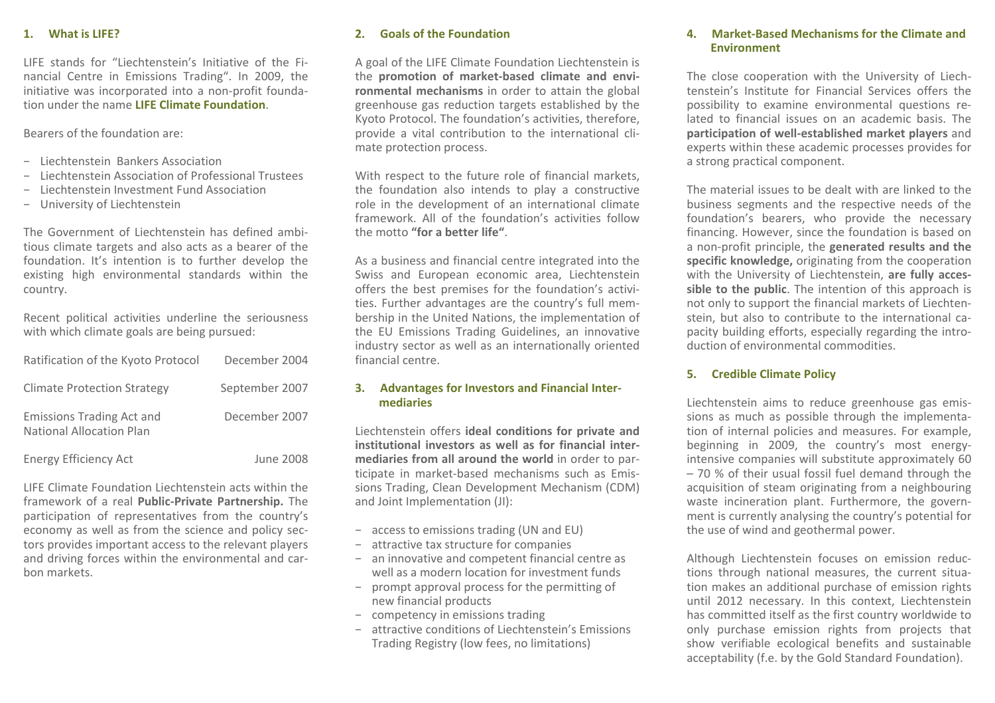## **1. What is LIFE?**

LIFE stands for "Liechtenstein's Initiative of the Fi‐ nancial Centre in Emissions Trading". In 2009, the initiative was incorporated into <sup>a</sup> non‐profit founda‐ tion under the name **LIFE Climate Foundation**.

Bearers of the foundation are:

- − Liechtenstein Bankers Association
- − Liechtenstein Association of Professional Trustees
- Liechtenstein Investment Fund Association
- − University of Liechtenstein

The Government of Liechtenstein has defined ambi‐ tious climate targets and also acts as <sup>a</sup> bearer of the foundation. It's intention is to further develop the existing high environmental standards within the country.

Recent political activities underline the seriousness with which climate goals are being pursued:

| Ratification of the Kyoto Protocol                                  | December 2004  |
|---------------------------------------------------------------------|----------------|
| <b>Climate Protection Strategy</b>                                  | September 2007 |
| <b>Emissions Trading Act and</b><br><b>National Allocation Plan</b> | December 2007  |
| <b>Energy Efficiency Act</b>                                        | June 2008      |

LIFE Climate Foundation Liechtenstein acts within the framework of <sup>a</sup> real **Public‐Private Partnership.** The participation of representatives from the country's economy as well as from the science and policy sec‐ tors provides important access to the relevant players and driving forces within the environmental and car‐ bon markets.

# **2. Goals of the Foundation**

A goal of the LIFE Climate Foundation Liechtenstein is the **promotion of market‐based climate and envi‐ ronmental mechanisms** in order to attain the global greenhouse gas reduction targets established by the Kyoto Protocol. The foundation's activities, therefore, provide <sup>a</sup> vital contribution to the international cli‐ mate protection process.

With respect to the future role of financial markets, the foundation also intends to play <sup>a</sup> constructive role in the development of an international climate framework. All of the foundation's activities followthe motto **"for <sup>a</sup> better life"**.

As a business and financial centre integrated into the Swiss and European economic area, Liechtenstein offers the best premises for the foundation's activi‐ ties. Further advantages are the country's full mem‐ bership in the United Nations, the implementation of the EU Emissions Trading Guidelines, an innovative industry sector as well as an internationally oriented financial centre.

# **3. Advantages for Investors and Financial Inter‐ mediaries**

Liechtenstein offers **ideal conditions for private and institutional investors as well as for financial inter‐ mediaries from all around the world** in order to par‐ ticipate in market‐based mechanisms such as Emis‐ sions Trading, Clean Development Mechanism (CDM) and Joint Implementation (JI):

- − access to emissions trading (UN and EU)
- − attractive tax structure for companies
- − an innovative and competent financial centre as well as a modern location for investment funds
- − prompt approval process for the permitting of new financial products
- − competency in emissions trading
- − attractive conditions of Liechtenstein's Emissions Trading Registry (low fees, no limitations)

## **4. Market‐Based Mechanisms for the Climate and Environment**

The close cooperation with the University of Liech‐ tenstein's Institute for Financial Services offers the possibility to examine environmental questions re‐ lated to financial issues on an academic basis. The **participation of well‐established market players** and experts within these academic processes provides for a strong practical component.

The material issues to be dealt with are linked to the business segments and the respective needs of the foundation's bearers, who provide the necessary financing. However, since the foundation is based on a non‐profit principle, the **generated results and the specific knowledge,** originating from the cooperation with the University of Liechtenstein, **are fully acces‐ sible to the public**. The intention of this approach is not only to support the financial markets of Liechten‐ stein, but also to contribute to the international capacity building efforts, especially regarding the intro‐ duction of environmental commodities.

# **5. Credible Climate Policy**

Liechtenstein aims to reduce greenhouse gas emis‐ sions as much as possible through the implementa‐ tion of internal policies and measures. For example, beginning in 2009, the country's most energy‐ intensive companies will substitute approximately 60 – 70 % of their usual fossil fuel demand through the acquisition of steam originating from <sup>a</sup> neighbouring waste incineration plant. Furthermore, the govern‐ ment is currently analysing the country's potential for the use of wind and geothermal power.

Although Liechtenstein focuses on emission reduc‐ tions through national measures, the current situa‐ tion makes an additional purchase of emission rights until 2012 necessary. In this context, Liechtenstein has committed itself as the first country worldwide to only purchase emission rights from projects that show verifiable ecological benefits and sustainable acceptability (f.e. by the Gold Standard Foundation).